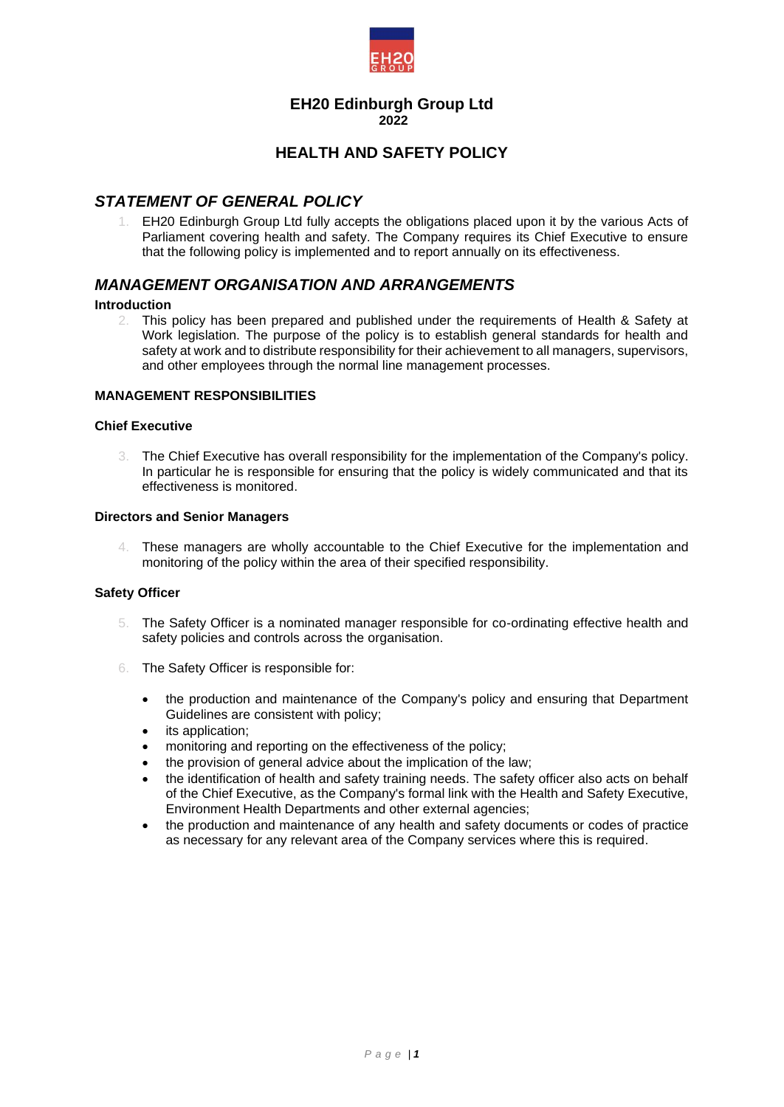

# **EH20 Edinburgh Group Ltd 2022**

# **HEALTH AND SAFETY POLICY**

# *STATEMENT OF GENERAL POLICY*

1. EH20 Edinburgh Group Ltd fully accepts the obligations placed upon it by the various Acts of Parliament covering health and safety. The Company requires its Chief Executive to ensure that the following policy is implemented and to report annually on its effectiveness.

# *MANAGEMENT ORGANISATION AND ARRANGEMENTS*

#### **Introduction**

2. This policy has been prepared and published under the requirements of Health & Safety at Work legislation. The purpose of the policy is to establish general standards for health and safety at work and to distribute responsibility for their achievement to all managers, supervisors, and other employees through the normal line management processes.

#### **MANAGEMENT RESPONSIBILITIES**

# **Chief Executive**

3. The Chief Executive has overall responsibility for the implementation of the Company's policy. In particular he is responsible for ensuring that the policy is widely communicated and that its effectiveness is monitored.

#### **Directors and Senior Managers**

4. These managers are wholly accountable to the Chief Executive for the implementation and monitoring of the policy within the area of their specified responsibility.

#### **Safety Officer**

- 5. The Safety Officer is a nominated manager responsible for co-ordinating effective health and safety policies and controls across the organisation.
- 6. The Safety Officer is responsible for:
	- the production and maintenance of the Company's policy and ensuring that Department Guidelines are consistent with policy;
	- its application:
	- monitoring and reporting on the effectiveness of the policy;
	- the provision of general advice about the implication of the law;
	- the identification of health and safety training needs. The safety officer also acts on behalf of the Chief Executive, as the Company's formal link with the Health and Safety Executive, Environment Health Departments and other external agencies;
	- the production and maintenance of any health and safety documents or codes of practice as necessary for any relevant area of the Company services where this is required.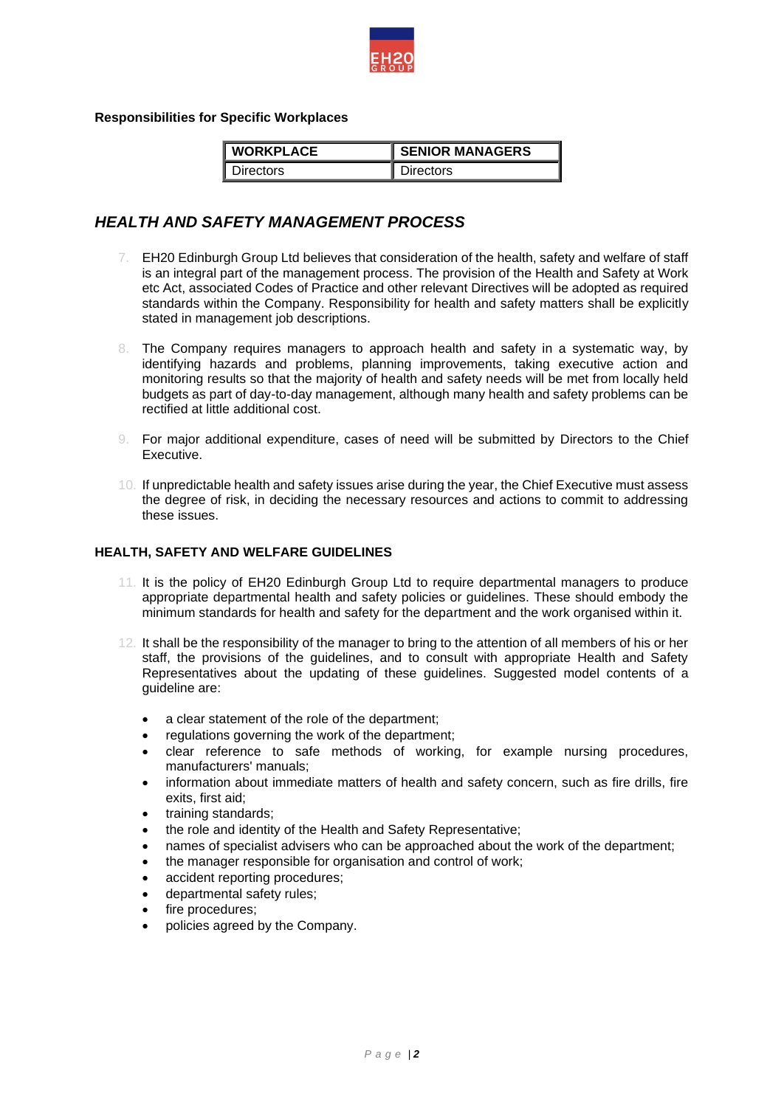

**Responsibilities for Specific Workplaces** 

| <b>WORKPLACE</b> | <b>SENIOR MANAGERS</b> |
|------------------|------------------------|
| <b>lirectors</b> | irectors               |

# *HEALTH AND SAFETY MANAGEMENT PROCESS*

- 7. EH20 Edinburgh Group Ltd believes that consideration of the health, safety and welfare of staff is an integral part of the management process. The provision of the Health and Safety at Work etc Act, associated Codes of Practice and other relevant Directives will be adopted as required standards within the Company. Responsibility for health and safety matters shall be explicitly stated in management job descriptions.
- 8. The Company requires managers to approach health and safety in a systematic way, by identifying hazards and problems, planning improvements, taking executive action and monitoring results so that the majority of health and safety needs will be met from locally held budgets as part of day-to-day management, although many health and safety problems can be rectified at little additional cost.
- 9. For major additional expenditure, cases of need will be submitted by Directors to the Chief Executive.
- 10. If unpredictable health and safety issues arise during the year, the Chief Executive must assess the degree of risk, in deciding the necessary resources and actions to commit to addressing these issues.

# **HEALTH, SAFETY AND WELFARE GUIDELINES**

- 11. It is the policy of EH20 Edinburgh Group Ltd to require departmental managers to produce appropriate departmental health and safety policies or guidelines. These should embody the minimum standards for health and safety for the department and the work organised within it.
- 12. It shall be the responsibility of the manager to bring to the attention of all members of his or her staff, the provisions of the guidelines, and to consult with appropriate Health and Safety Representatives about the updating of these guidelines. Suggested model contents of a guideline are:
	- a clear statement of the role of the department;
	- regulations governing the work of the department;
	- clear reference to safe methods of working, for example nursing procedures, manufacturers' manuals;
	- information about immediate matters of health and safety concern, such as fire drills, fire exits, first aid;
	- training standards;
	- the role and identity of the Health and Safety Representative;
	- names of specialist advisers who can be approached about the work of the department;
	- the manager responsible for organisation and control of work;
	- accident reporting procedures;
	- departmental safety rules;
	- fire procedures;
	- policies agreed by the Company.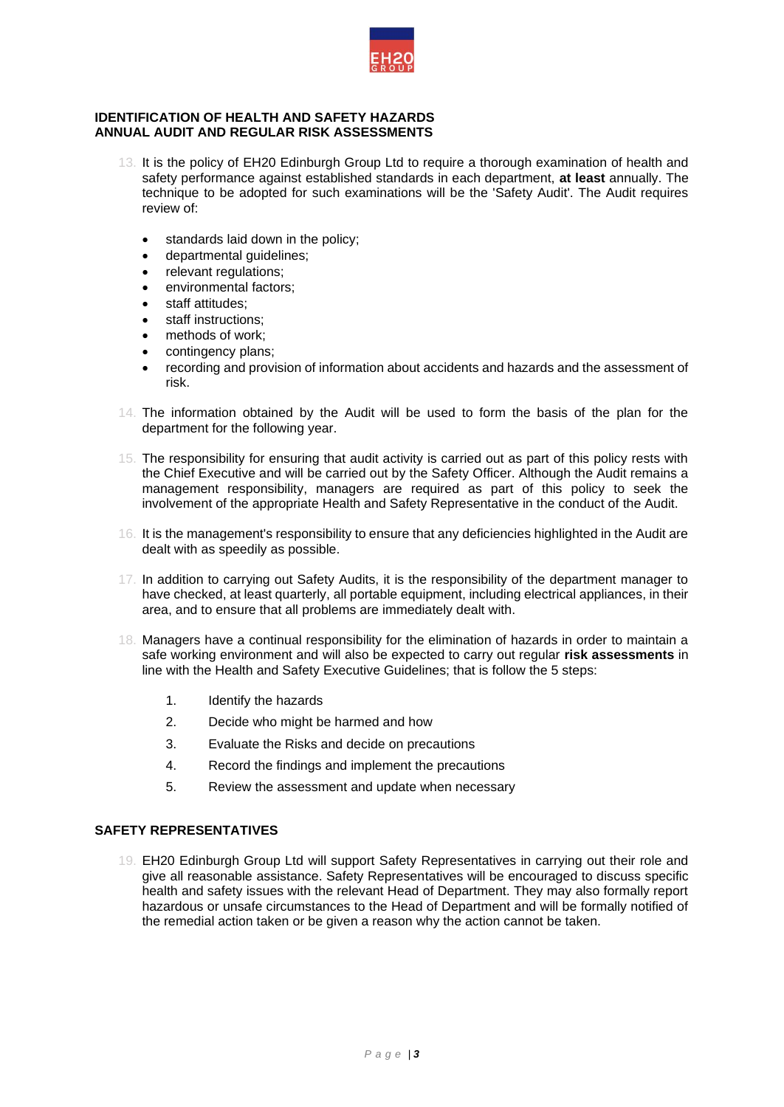

#### **IDENTIFICATION OF HEALTH AND SAFETY HAZARDS ANNUAL AUDIT AND REGULAR RISK ASSESSMENTS**

- 13. It is the policy of EH20 Edinburgh Group Ltd to require a thorough examination of health and safety performance against established standards in each department, **at least** annually. The technique to be adopted for such examinations will be the 'Safety Audit'. The Audit requires review of:
	- standards laid down in the policy;
	- departmental guidelines;
	- relevant regulations;
	- environmental factors:
	- staff attitudes:
	- staff instructions;
	- methods of work;
	- contingency plans:
	- recording and provision of information about accidents and hazards and the assessment of risk.
- 14. The information obtained by the Audit will be used to form the basis of the plan for the department for the following year.
- 15. The responsibility for ensuring that audit activity is carried out as part of this policy rests with the Chief Executive and will be carried out by the Safety Officer. Although the Audit remains a management responsibility, managers are required as part of this policy to seek the involvement of the appropriate Health and Safety Representative in the conduct of the Audit.
- 16. It is the management's responsibility to ensure that any deficiencies highlighted in the Audit are dealt with as speedily as possible.
- 17. In addition to carrying out Safety Audits, it is the responsibility of the department manager to have checked, at least quarterly, all portable equipment, including electrical appliances, in their area, and to ensure that all problems are immediately dealt with.
- 18. Managers have a continual responsibility for the elimination of hazards in order to maintain a safe working environment and will also be expected to carry out regular **risk assessments** in line with the Health and Safety Executive Guidelines; that is follow the 5 steps:
	- 1. Identify the hazards
	- 2. Decide who might be harmed and how
	- 3. Evaluate the Risks and decide on precautions
	- 4. Record the findings and implement the precautions
	- 5. Review the assessment and update when necessary

# **SAFETY REPRESENTATIVES**

19. EH20 Edinburgh Group Ltd will support Safety Representatives in carrying out their role and give all reasonable assistance. Safety Representatives will be encouraged to discuss specific health and safety issues with the relevant Head of Department. They may also formally report hazardous or unsafe circumstances to the Head of Department and will be formally notified of the remedial action taken or be given a reason why the action cannot be taken.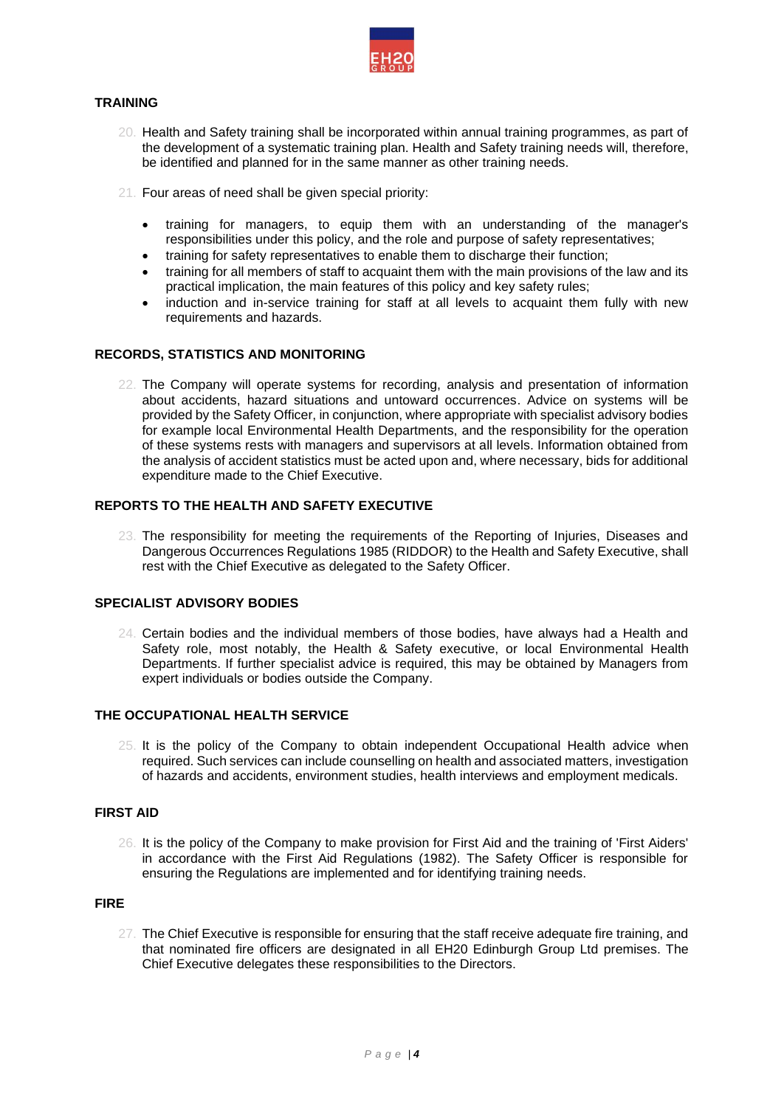

# **TRAINING**

- 20. Health and Safety training shall be incorporated within annual training programmes, as part of the development of a systematic training plan. Health and Safety training needs will, therefore, be identified and planned for in the same manner as other training needs.
- 21. Four areas of need shall be given special priority:
	- training for managers, to equip them with an understanding of the manager's responsibilities under this policy, and the role and purpose of safety representatives;
	- training for safety representatives to enable them to discharge their function;
	- training for all members of staff to acquaint them with the main provisions of the law and its practical implication, the main features of this policy and key safety rules;
	- induction and in-service training for staff at all levels to acquaint them fully with new requirements and hazards.

# **RECORDS, STATISTICS AND MONITORING**

22. The Company will operate systems for recording, analysis and presentation of information about accidents, hazard situations and untoward occurrences. Advice on systems will be provided by the Safety Officer, in conjunction, where appropriate with specialist advisory bodies for example local Environmental Health Departments, and the responsibility for the operation of these systems rests with managers and supervisors at all levels. Information obtained from the analysis of accident statistics must be acted upon and, where necessary, bids for additional expenditure made to the Chief Executive.

# **REPORTS TO THE HEALTH AND SAFETY EXECUTIVE**

23. The responsibility for meeting the requirements of the Reporting of Injuries, Diseases and Dangerous Occurrences Regulations 1985 (RIDDOR) to the Health and Safety Executive, shall rest with the Chief Executive as delegated to the Safety Officer.

### **SPECIALIST ADVISORY BODIES**

24. Certain bodies and the individual members of those bodies, have always had a Health and Safety role, most notably, the Health & Safety executive, or local Environmental Health Departments. If further specialist advice is required, this may be obtained by Managers from expert individuals or bodies outside the Company.

### **THE OCCUPATIONAL HEALTH SERVICE**

25. It is the policy of the Company to obtain independent Occupational Health advice when required. Such services can include counselling on health and associated matters, investigation of hazards and accidents, environment studies, health interviews and employment medicals.

# **FIRST AID**

26. It is the policy of the Company to make provision for First Aid and the training of 'First Aiders' in accordance with the First Aid Regulations (1982). The Safety Officer is responsible for ensuring the Regulations are implemented and for identifying training needs.

# **FIRE**

27. The Chief Executive is responsible for ensuring that the staff receive adequate fire training, and that nominated fire officers are designated in all EH20 Edinburgh Group Ltd premises. The Chief Executive delegates these responsibilities to the Directors.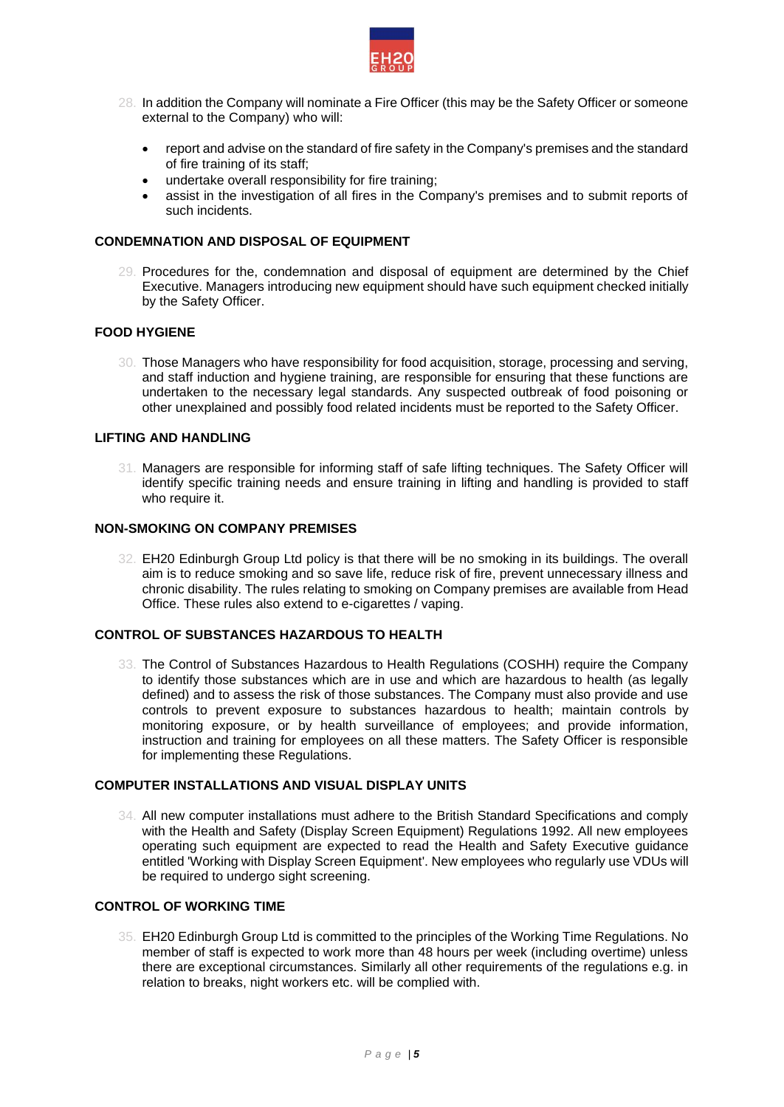

- 28. In addition the Company will nominate a Fire Officer (this may be the Safety Officer or someone external to the Company) who will:
	- report and advise on the standard of fire safety in the Company's premises and the standard of fire training of its staff;
	- undertake overall responsibility for fire training;
	- assist in the investigation of all fires in the Company's premises and to submit reports of such incidents.

### **CONDEMNATION AND DISPOSAL OF EQUIPMENT**

29. Procedures for the, condemnation and disposal of equipment are determined by the Chief Executive. Managers introducing new equipment should have such equipment checked initially by the Safety Officer.

# **FOOD HYGIENE**

30. Those Managers who have responsibility for food acquisition, storage, processing and serving, and staff induction and hygiene training, are responsible for ensuring that these functions are undertaken to the necessary legal standards. Any suspected outbreak of food poisoning or other unexplained and possibly food related incidents must be reported to the Safety Officer.

# **LIFTING AND HANDLING**

31. Managers are responsible for informing staff of safe lifting techniques. The Safety Officer will identify specific training needs and ensure training in lifting and handling is provided to staff who require it.

### **NON-SMOKING ON COMPANY PREMISES**

32. EH20 Edinburgh Group Ltd policy is that there will be no smoking in its buildings. The overall aim is to reduce smoking and so save life, reduce risk of fire, prevent unnecessary illness and chronic disability. The rules relating to smoking on Company premises are available from Head Office. These rules also extend to e-cigarettes / vaping.

#### **CONTROL OF SUBSTANCES HAZARDOUS TO HEALTH**

33. The Control of Substances Hazardous to Health Regulations (COSHH) require the Company to identify those substances which are in use and which are hazardous to health (as legally defined) and to assess the risk of those substances. The Company must also provide and use controls to prevent exposure to substances hazardous to health; maintain controls by monitoring exposure, or by health surveillance of employees; and provide information, instruction and training for employees on all these matters. The Safety Officer is responsible for implementing these Regulations.

# **COMPUTER INSTALLATIONS AND VISUAL DISPLAY UNITS**

34. All new computer installations must adhere to the British Standard Specifications and comply with the Health and Safety (Display Screen Equipment) Regulations 1992. All new employees operating such equipment are expected to read the Health and Safety Executive guidance entitled 'Working with Display Screen Equipment'. New employees who regularly use VDUs will be required to undergo sight screening.

# **CONTROL OF WORKING TIME**

35. EH20 Edinburgh Group Ltd is committed to the principles of the Working Time Regulations. No member of staff is expected to work more than 48 hours per week (including overtime) unless there are exceptional circumstances. Similarly all other requirements of the regulations e.g. in relation to breaks, night workers etc. will be complied with.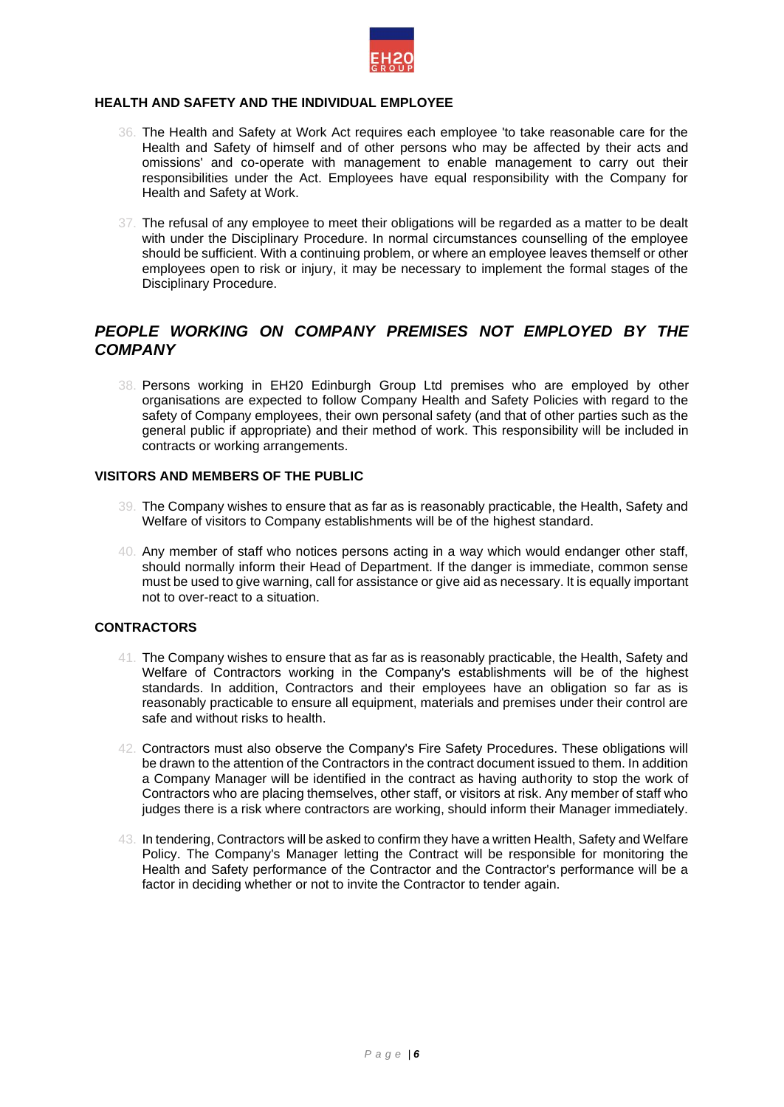

# **HEALTH AND SAFETY AND THE INDIVIDUAL EMPLOYEE**

- 36. The Health and Safety at Work Act requires each employee 'to take reasonable care for the Health and Safety of himself and of other persons who may be affected by their acts and omissions' and co-operate with management to enable management to carry out their responsibilities under the Act. Employees have equal responsibility with the Company for Health and Safety at Work.
- 37. The refusal of any employee to meet their obligations will be regarded as a matter to be dealt with under the Disciplinary Procedure. In normal circumstances counselling of the employee should be sufficient. With a continuing problem, or where an employee leaves themself or other employees open to risk or injury, it may be necessary to implement the formal stages of the Disciplinary Procedure.

# *PEOPLE WORKING ON COMPANY PREMISES NOT EMPLOYED BY THE COMPANY*

38. Persons working in EH20 Edinburgh Group Ltd premises who are employed by other organisations are expected to follow Company Health and Safety Policies with regard to the safety of Company employees, their own personal safety (and that of other parties such as the general public if appropriate) and their method of work. This responsibility will be included in contracts or working arrangements.

# **VISITORS AND MEMBERS OF THE PUBLIC**

- 39. The Company wishes to ensure that as far as is reasonably practicable, the Health, Safety and Welfare of visitors to Company establishments will be of the highest standard.
- 40. Any member of staff who notices persons acting in a way which would endanger other staff, should normally inform their Head of Department. If the danger is immediate, common sense must be used to give warning, call for assistance or give aid as necessary. It is equally important not to over-react to a situation.

## **CONTRACTORS**

- 41. The Company wishes to ensure that as far as is reasonably practicable, the Health, Safety and Welfare of Contractors working in the Company's establishments will be of the highest standards. In addition, Contractors and their employees have an obligation so far as is reasonably practicable to ensure all equipment, materials and premises under their control are safe and without risks to health.
- 42. Contractors must also observe the Company's Fire Safety Procedures. These obligations will be drawn to the attention of the Contractors in the contract document issued to them. In addition a Company Manager will be identified in the contract as having authority to stop the work of Contractors who are placing themselves, other staff, or visitors at risk. Any member of staff who judges there is a risk where contractors are working, should inform their Manager immediately.
- 43. In tendering, Contractors will be asked to confirm they have a written Health, Safety and Welfare Policy. The Company's Manager letting the Contract will be responsible for monitoring the Health and Safety performance of the Contractor and the Contractor's performance will be a factor in deciding whether or not to invite the Contractor to tender again.